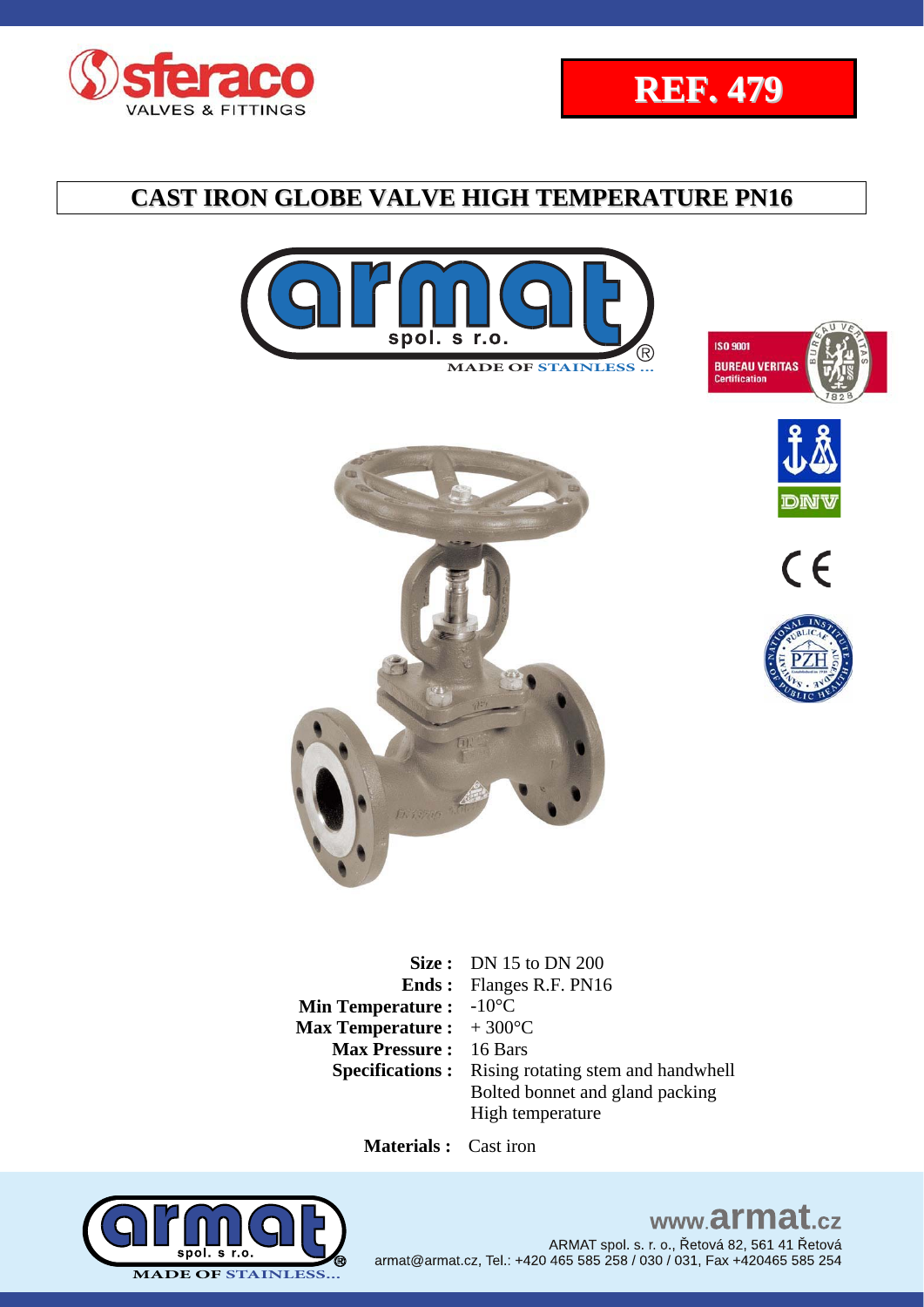















**Size :** DN 15 to DN 200 **Ends :**  Flanges R.F. PN16 **Min Temperature :** -10°C **Max Temperature :**  + 300°C **Max Pressure :** 16 Bars **Specifications :** Rising rotating stem and handwhell Bolted bonnet and gland packing High temperature

 **Materials :** Cast iron



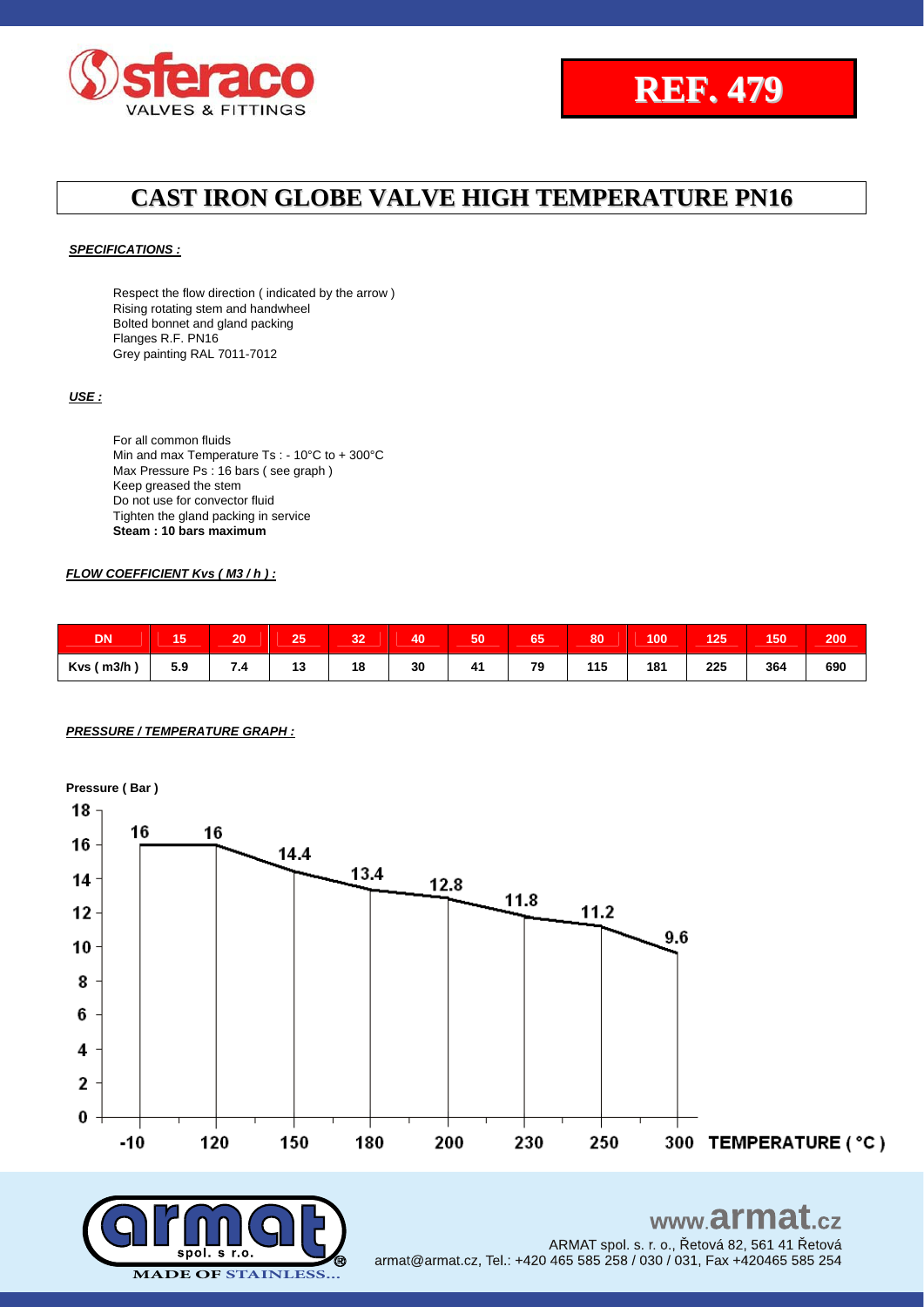



ARMAT spol. s. r. o., Řetová 82, 561 41 Řetová

### **CAST IRON GLOBE VALVE HIGH TEMPERATURE PN16**

#### *SPECIFICATIONS :*

Respect the flow direction ( indicated by the arrow ) Rising rotating stem and handwheel Bolted bonnet and gland packing Flanges R.F. PN16 Grey painting RAL 7011-7012

#### *USE :*

For all common fluids Min and max Temperature Ts : - 10°C to + 300°C Max Pressure Ps : 16 bars (see graph) Keep greased the stem Do not use for convector fluid Tighten the gland packing in service **Steam : 10 bars maximum**

#### *FLOW COEFFICIENT Kvs ( M3 / h ) :*

| <b>DN</b>  | 1 J | 20                     | 25 | 32 | 40 | 50 | 65 | 80  | 100 | 125 | 150 | 200 |
|------------|-----|------------------------|----|----|----|----|----|-----|-----|-----|-----|-----|
| Kvs ( m3/h | 5.9 | л<br>$\cdot$ . $\cdot$ | 13 | 18 | 30 | 41 | 79 | 115 | 181 | 225 | 364 | 690 |

#### *PRESSURE / TEMPERATURE GRAPH :*



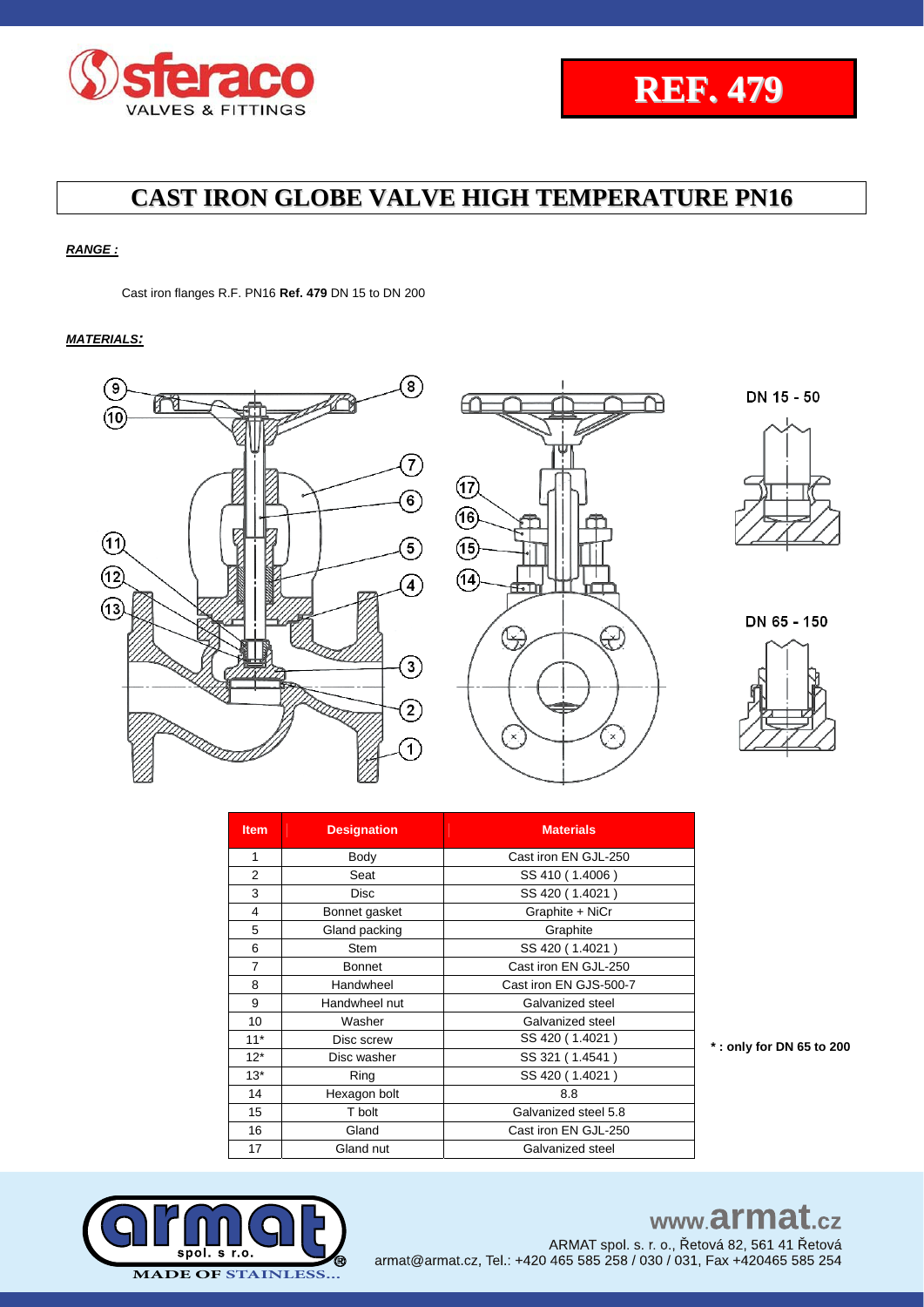

### *RANGE :*

Cast iron flanges R.F. PN16 **Ref. 479** DN 15 to DN 200

#### *MATERIALS:*



| <b>Item</b>    | <b>Designation</b> | <b>Materials</b>       |  |  |  |  |  |  |  |
|----------------|--------------------|------------------------|--|--|--|--|--|--|--|
| 1              | Body               | Cast iron EN GJL-250   |  |  |  |  |  |  |  |
| $\overline{2}$ | Seat               | SS 410 (1.4006)        |  |  |  |  |  |  |  |
| 3              | <b>Disc</b>        | SS 420 (1.4021)        |  |  |  |  |  |  |  |
| 4              | Bonnet gasket      | Graphite + NiCr        |  |  |  |  |  |  |  |
| 5              | Gland packing      | Graphite               |  |  |  |  |  |  |  |
| 6              | <b>Stem</b>        | SS 420 (1.4021)        |  |  |  |  |  |  |  |
| 7              | <b>Bonnet</b>      | Cast iron EN GJL-250   |  |  |  |  |  |  |  |
| 8              | Handwheel          | Cast iron EN GJS-500-7 |  |  |  |  |  |  |  |
| 9              | Handwheel nut      | Galvanized steel       |  |  |  |  |  |  |  |
| 10             | Washer             | Galvanized steel       |  |  |  |  |  |  |  |
| $11*$          | Disc screw         | SS 420 (1.4021)        |  |  |  |  |  |  |  |
| $12*$          | Disc washer        | SS 321 (1.4541)        |  |  |  |  |  |  |  |
| $13*$          | Ring               | SS 420 (1.4021)        |  |  |  |  |  |  |  |
| 14             | Hexagon bolt       | 8.8                    |  |  |  |  |  |  |  |
| 15             | T bolt             | Galvanized steel 5.8   |  |  |  |  |  |  |  |
| 16             | Gland              | Cast iron EN GJL-250   |  |  |  |  |  |  |  |
| 17             | Gland nut          | Galvanized steel       |  |  |  |  |  |  |  |

**\* : only for DN 65 to 200**



# www.armat.cz

ARMAT spol. s. r. o., Řetová 82, 561 41 Řetová armat@armat.cz, Tel.: +420 465 585 258 / 030 / 031, Fax +420465 585 254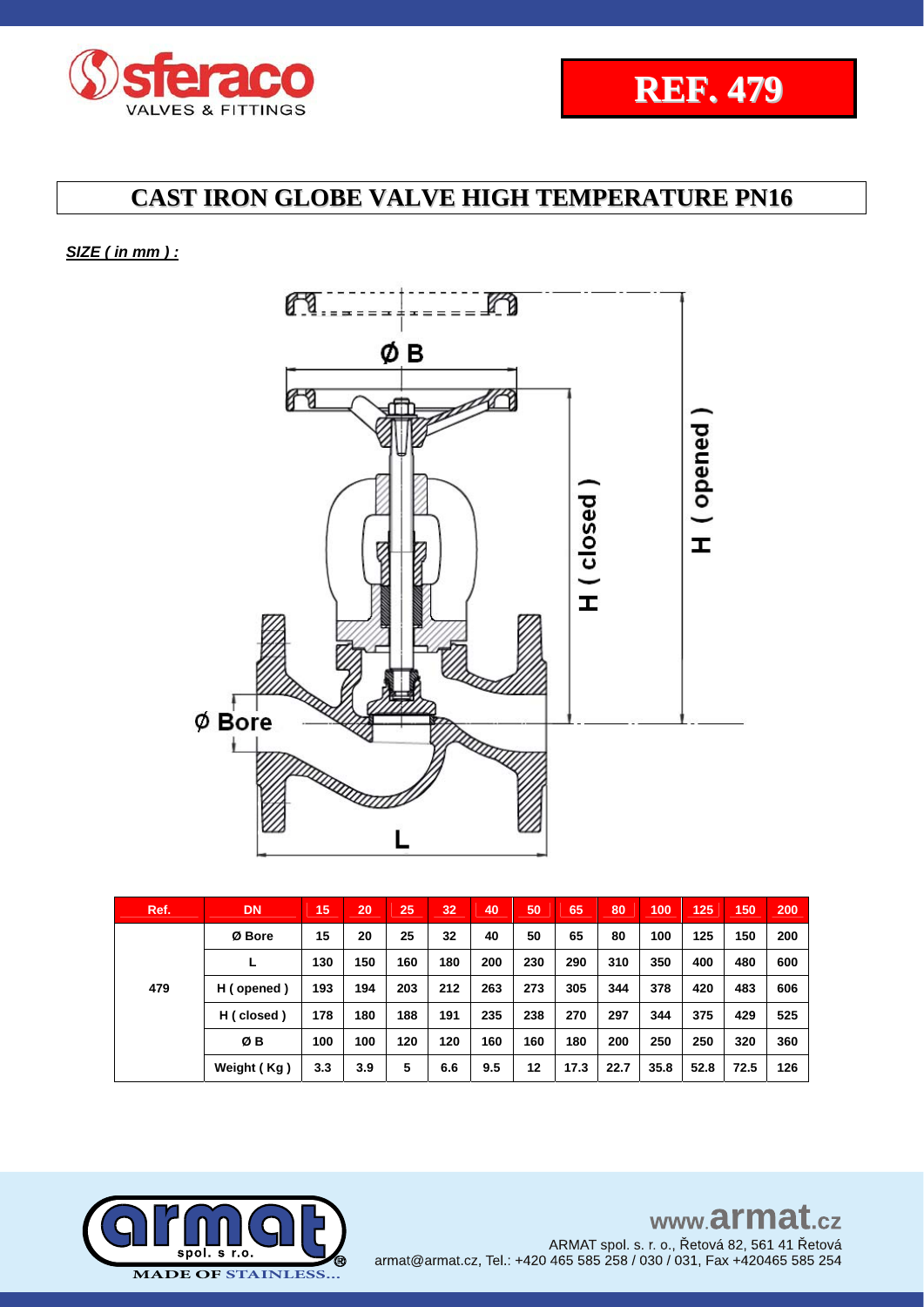



### *SIZE ( in mm ) :*



| Ref. | <b>DN</b>   | 15  | 20  | 25  | 32  | 40  | 50  | 65   | 80   | 100  | 125  | 150  | 200 |
|------|-------------|-----|-----|-----|-----|-----|-----|------|------|------|------|------|-----|
| 479  | Ø Bore      | 15  | 20  | 25  | 32  | 40  | 50  | 65   | 80   | 100  | 125  | 150  | 200 |
|      |             | 130 | 150 | 160 | 180 | 200 | 230 | 290  | 310  | 350  | 400  | 480  | 600 |
|      | H (opened)  | 193 | 194 | 203 | 212 | 263 | 273 | 305  | 344  | 378  | 420  | 483  | 606 |
|      | H (closed)  | 178 | 180 | 188 | 191 | 235 | 238 | 270  | 297  | 344  | 375  | 429  | 525 |
|      | ØΒ          | 100 | 100 | 120 | 120 | 160 | 160 | 180  | 200  | 250  | 250  | 320  | 360 |
|      | Weight (Kg) | 3.3 | 3.9 | 5   | 6.6 | 9.5 | 12  | 17.3 | 22.7 | 35.8 | 52.8 | 72.5 | 126 |

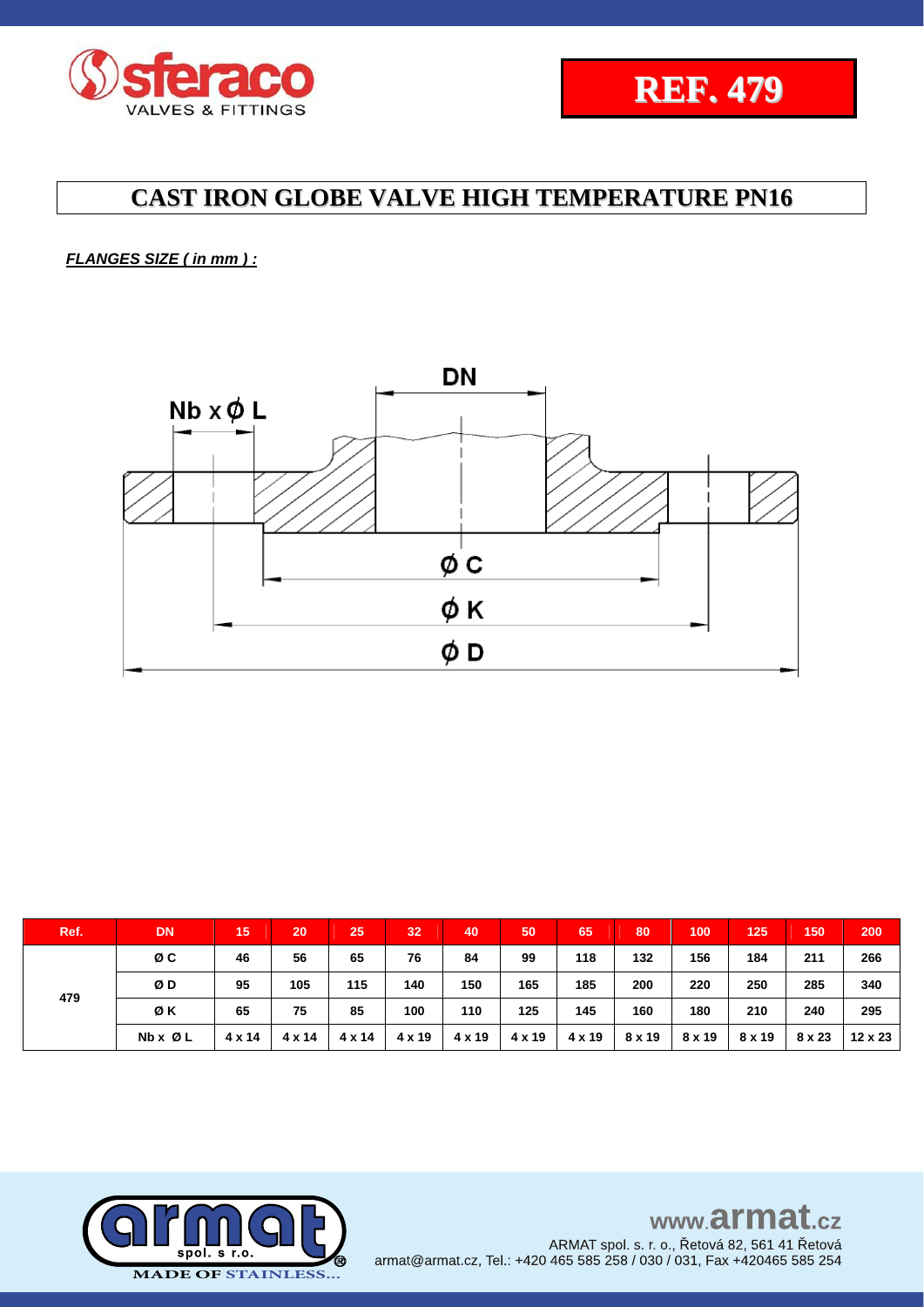

*FLANGES SIZE ( in mm ) :*



| Ref. | <b>DN</b> | 15            | 20            | 25     | 32     | 40     | 50     | 65     | 80     | 100    | 125    | 150    | 200     |
|------|-----------|---------------|---------------|--------|--------|--------|--------|--------|--------|--------|--------|--------|---------|
|      | øс        | 46            | 56            | 65     | 76     | 84     | 99     | 118    | 132    | 156    | 184    | 211    | 266     |
|      | ØD        | 95            | 105           | 115    | 140    | 150    | 165    | 185    | 200    | 220    | 250    | 285    | 340     |
| 479  | ØΚ        | 65            | 75            | 85     | 100    | 110    | 125    | 145    | 160    | 180    | 210    | 240    | 295     |
|      | Nb x Ø L  | $4 \times 14$ | $4 \times 14$ | 4 x 14 | 4 x 19 | 4 x 19 | 4 x 19 | 4 x 19 | 8 x 19 | 8 x 19 | 8 x 19 | 8 x 23 | 12 x 23 |

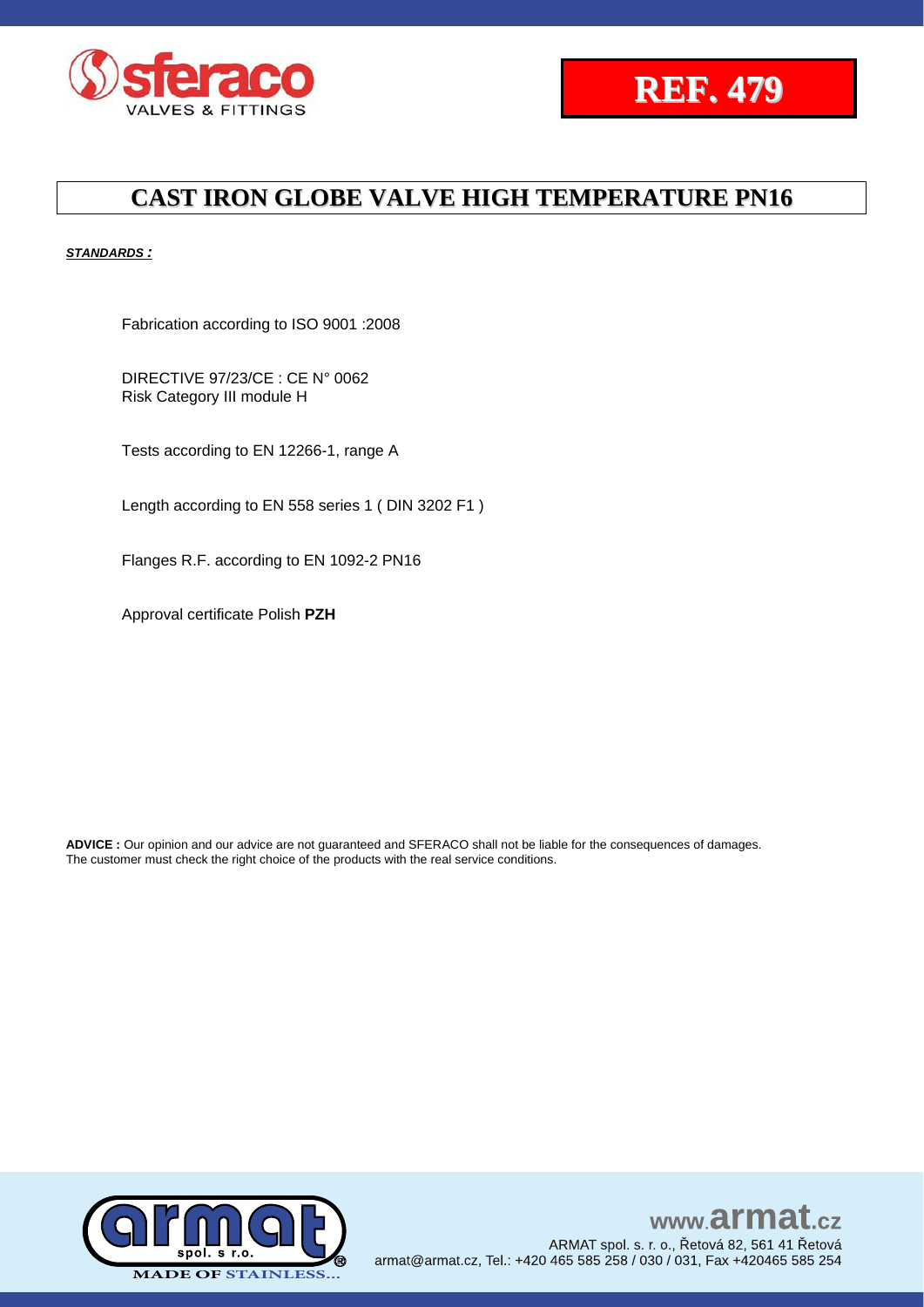



#### *STANDARDS :*

Fabrication according to ISO 9001 :2008

DIRECTIVE 97/23/CE : CE N° 0062 Risk Category III module H

Tests according to EN 12266-1, range A

Length according to EN 558 series 1 ( DIN 3202 F1 )

Flanges R.F. according to EN 1092-2 PN16

Approval certificate Polish **PZH**

**ADVICE :** Our opinion and our advice are not guaranteed and SFERACO shall not be liable for the consequences of damages. The customer must check the right choice of the products with the real service conditions.